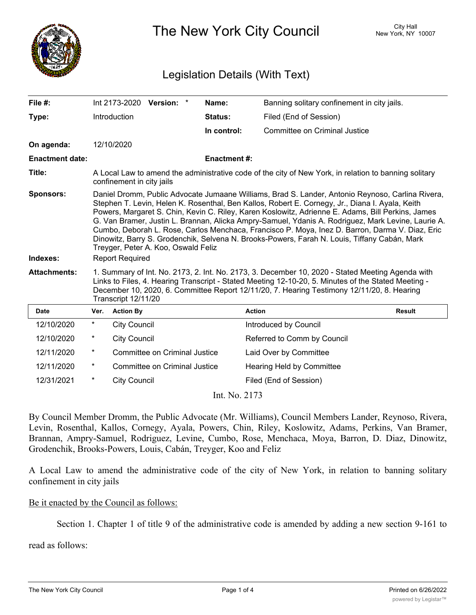

The New York City Council New York, NY 10007

## Legislation Details (With Text)

| File $#$ :                   |                                                                                                                                                                                                                                                                                                                                                                                                                                                                                                                                                                                                                                                                                    |                     | Int 2173-2020 Version: *      |  | Name:               | Banning solitary confinement in city jails. |               |
|------------------------------|------------------------------------------------------------------------------------------------------------------------------------------------------------------------------------------------------------------------------------------------------------------------------------------------------------------------------------------------------------------------------------------------------------------------------------------------------------------------------------------------------------------------------------------------------------------------------------------------------------------------------------------------------------------------------------|---------------------|-------------------------------|--|---------------------|---------------------------------------------|---------------|
| Type:                        |                                                                                                                                                                                                                                                                                                                                                                                                                                                                                                                                                                                                                                                                                    | Introduction        |                               |  | <b>Status:</b>      | Filed (End of Session)                      |               |
|                              |                                                                                                                                                                                                                                                                                                                                                                                                                                                                                                                                                                                                                                                                                    |                     |                               |  | In control:         | Committee on Criminal Justice               |               |
| On agenda:                   |                                                                                                                                                                                                                                                                                                                                                                                                                                                                                                                                                                                                                                                                                    | 12/10/2020          |                               |  |                     |                                             |               |
| <b>Enactment date:</b>       |                                                                                                                                                                                                                                                                                                                                                                                                                                                                                                                                                                                                                                                                                    |                     |                               |  | <b>Enactment #:</b> |                                             |               |
| Title:                       | A Local Law to amend the administrative code of the city of New York, in relation to banning solitary<br>confinement in city jails                                                                                                                                                                                                                                                                                                                                                                                                                                                                                                                                                 |                     |                               |  |                     |                                             |               |
| <b>Sponsors:</b><br>Indexes: | Daniel Dromm, Public Advocate Jumaane Williams, Brad S. Lander, Antonio Reynoso, Carlina Rivera,<br>Stephen T. Levin, Helen K. Rosenthal, Ben Kallos, Robert E. Cornegy, Jr., Diana I. Ayala, Keith<br>Powers, Margaret S. Chin, Kevin C. Riley, Karen Koslowitz, Adrienne E. Adams, Bill Perkins, James<br>G. Van Bramer, Justin L. Brannan, Alicka Ampry-Samuel, Ydanis A. Rodriguez, Mark Levine, Laurie A.<br>Cumbo, Deborah L. Rose, Carlos Menchaca, Francisco P. Moya, Inez D. Barron, Darma V. Diaz, Eric<br>Dinowitz, Barry S. Grodenchik, Selvena N. Brooks-Powers, Farah N. Louis, Tiffany Cabán, Mark<br>Treyger, Peter A. Koo, Oswald Feliz<br><b>Report Required</b> |                     |                               |  |                     |                                             |               |
| <b>Attachments:</b>          | 1. Summary of Int. No. 2173, 2. Int. No. 2173, 3. December 10, 2020 - Stated Meeting Agenda with<br>Links to Files, 4. Hearing Transcript - Stated Meeting 12-10-20, 5. Minutes of the Stated Meeting -<br>December 10, 2020, 6. Committee Report 12/11/20, 7. Hearing Testimony 12/11/20, 8. Hearing<br>Transcript 12/11/20                                                                                                                                                                                                                                                                                                                                                       |                     |                               |  |                     |                                             |               |
| <b>Date</b>                  | Ver.                                                                                                                                                                                                                                                                                                                                                                                                                                                                                                                                                                                                                                                                               | <b>Action By</b>    |                               |  |                     | <b>Action</b>                               | <b>Result</b> |
| 12/10/2020                   | $\star$                                                                                                                                                                                                                                                                                                                                                                                                                                                                                                                                                                                                                                                                            | <b>City Council</b> |                               |  |                     | Introduced by Council                       |               |
| 12/10/2020                   | $^\ast$                                                                                                                                                                                                                                                                                                                                                                                                                                                                                                                                                                                                                                                                            | <b>City Council</b> |                               |  |                     | Referred to Comm by Council                 |               |
| 12/11/2020                   | $^\ast$                                                                                                                                                                                                                                                                                                                                                                                                                                                                                                                                                                                                                                                                            |                     | Committee on Criminal Justice |  |                     | Laid Over by Committee                      |               |
| 12/11/2020                   | $\ast$                                                                                                                                                                                                                                                                                                                                                                                                                                                                                                                                                                                                                                                                             |                     | Committee on Criminal Justice |  |                     | Hearing Held by Committee                   |               |
| 12/31/2021                   | $^\star$                                                                                                                                                                                                                                                                                                                                                                                                                                                                                                                                                                                                                                                                           | <b>City Council</b> |                               |  |                     | Filed (End of Session)                      |               |

Int. No. 2173

By Council Member Dromm, the Public Advocate (Mr. Williams), Council Members Lander, Reynoso, Rivera, Levin, Rosenthal, Kallos, Cornegy, Ayala, Powers, Chin, Riley, Koslowitz, Adams, Perkins, Van Bramer, Brannan, Ampry-Samuel, Rodriguez, Levine, Cumbo, Rose, Menchaca, Moya, Barron, D. Diaz, Dinowitz, Grodenchik, Brooks-Powers, Louis, Cabán, Treyger, Koo and Feliz

A Local Law to amend the administrative code of the city of New York, in relation to banning solitary confinement in city jails

## Be it enacted by the Council as follows:

Section 1. Chapter 1 of title 9 of the administrative code is amended by adding a new section 9-161 to

read as follows: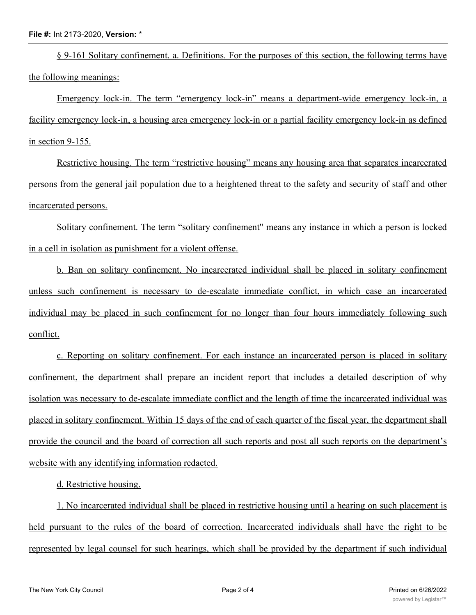§ 9-161 Solitary confinement. a. Definitions. For the purposes of this section, the following terms have the following meanings:

Emergency lock-in. The term "emergency lock-in" means a department-wide emergency lock-in, a facility emergency lock-in, a housing area emergency lock-in or a partial facility emergency lock-in as defined in section 9-155.

Restrictive housing. The term "restrictive housing" means any housing area that separates incarcerated persons from the general jail population due to a heightened threat to the safety and security of staff and other incarcerated persons.

Solitary confinement. The term "solitary confinement" means any instance in which a person is locked in a cell in isolation as punishment for a violent offense.

b. Ban on solitary confinement. No incarcerated individual shall be placed in solitary confinement unless such confinement is necessary to de-escalate immediate conflict, in which case an incarcerated individual may be placed in such confinement for no longer than four hours immediately following such conflict.

c. Reporting on solitary confinement. For each instance an incarcerated person is placed in solitary confinement, the department shall prepare an incident report that includes a detailed description of why isolation was necessary to de-escalate immediate conflict and the length of time the incarcerated individual was placed in solitary confinement. Within 15 days of the end of each quarter of the fiscal year, the department shall provide the council and the board of correction all such reports and post all such reports on the department's website with any identifying information redacted.

d. Restrictive housing.

1. No incarcerated individual shall be placed in restrictive housing until a hearing on such placement is held pursuant to the rules of the board of correction. Incarcerated individuals shall have the right to be represented by legal counsel for such hearings, which shall be provided by the department if such individual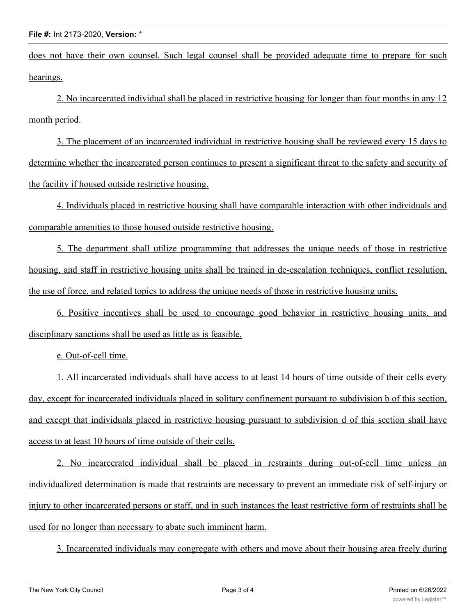## **File #:** Int 2173-2020, **Version:** \*

does not have their own counsel. Such legal counsel shall be provided adequate time to prepare for such hearings.

2. No incarcerated individual shall be placed in restrictive housing for longer than four months in any 12 month period.

3. The placement of an incarcerated individual in restrictive housing shall be reviewed every 15 days to determine whether the incarcerated person continues to present a significant threat to the safety and security of the facility if housed outside restrictive housing.

4. Individuals placed in restrictive housing shall have comparable interaction with other individuals and comparable amenities to those housed outside restrictive housing.

5. The department shall utilize programming that addresses the unique needs of those in restrictive housing, and staff in restrictive housing units shall be trained in de-escalation techniques, conflict resolution, the use of force, and related topics to address the unique needs of those in restrictive housing units.

6. Positive incentives shall be used to encourage good behavior in restrictive housing units, and disciplinary sanctions shall be used as little as is feasible.

e. Out-of-cell time.

1. All incarcerated individuals shall have access to at least 14 hours of time outside of their cells every day, except for incarcerated individuals placed in solitary confinement pursuant to subdivision b of this section, and except that individuals placed in restrictive housing pursuant to subdivision d of this section shall have access to at least 10 hours of time outside of their cells.

2. No incarcerated individual shall be placed in restraints during out-of-cell time unless an individualized determination is made that restraints are necessary to prevent an immediate risk of self-injury or injury to other incarcerated persons or staff, and in such instances the least restrictive form of restraints shall be used for no longer than necessary to abate such imminent harm.

3. Incarcerated individuals may congregate with others and move about their housing area freely during